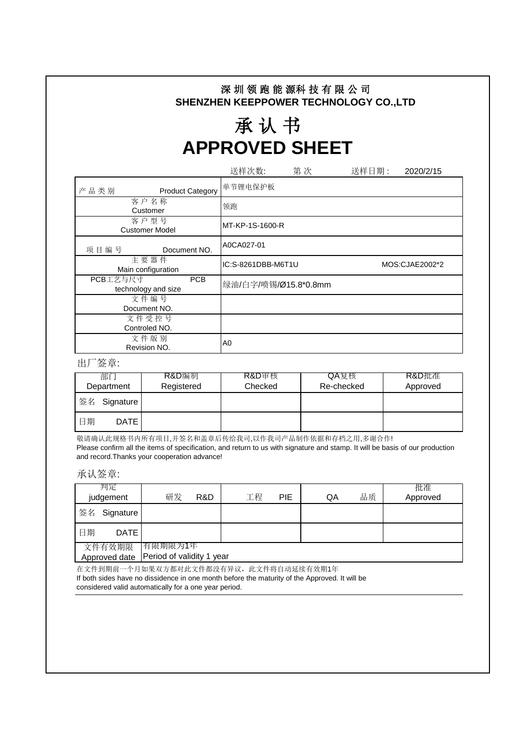## 深 圳 领 跑 能 源科 技 有 限 公 司 **SHENZHEN KEEPPOWER TECHNOLOGY CO.,LTD**

## 承 认 书 **APPROVED SHEET**

|                                        | 送样次数:<br>第次                          | 送样日期:<br>2020/2/15 |  |  |  |  |  |  |
|----------------------------------------|--------------------------------------|--------------------|--|--|--|--|--|--|
| 产品类别<br><b>Product Category</b>        | 单节锂电保护板                              |                    |  |  |  |  |  |  |
| 客户名称<br>Customer                       | 领跑                                   |                    |  |  |  |  |  |  |
| 客户型号<br><b>Customer Model</b>          | MT-KP-1S-1600-R                      |                    |  |  |  |  |  |  |
| 项目编号<br>Document NO.                   | A0CA027-01                           |                    |  |  |  |  |  |  |
| 主要器件<br>Main configuration             | IC:S-8261DBB-M6T1U<br>MOS:CJAE2002*2 |                    |  |  |  |  |  |  |
| PCB工艺与尺寸<br>PCB<br>technology and size | 绿油/白字/喷锡/Ø15.8*0.8mm                 |                    |  |  |  |  |  |  |
| 文件编号<br>Document NO.                   |                                      |                    |  |  |  |  |  |  |
| 文件受控号                                  |                                      |                    |  |  |  |  |  |  |
| Controled NO.                          |                                      |                    |  |  |  |  |  |  |
| 文件版别<br>Revision NO.                   | A0                                   |                    |  |  |  |  |  |  |

出厂签章:

| 部门<br>Department |             | R&D编制<br>Registered | <b>R&amp;D</b> 审核<br>Checked | QA复核<br>Re-checked | R&D批准<br>Approved |
|------------------|-------------|---------------------|------------------------------|--------------------|-------------------|
| 签名               | Signature   |                     |                              |                    |                   |
| 日期               | <b>DATE</b> |                     |                              |                    |                   |

敬请确认此规格书内所有项目,并签名和盖章后传给我司,以作我司产品制作依据和存档之用,多谢合作! Please confirm all the items of specification, and return to us with signature and stamp. It will be basis of our production and record.Thanks your cooperation advance!

承认签章:

|    | 判定<br>judgement         | 研发                                   | R&D | 工程 | <b>PIE</b> | QA | 品质 | 批准<br>Approved |
|----|-------------------------|--------------------------------------|-----|----|------------|----|----|----------------|
| 签名 | Signature               |                                      |     |    |            |    |    |                |
| 日期 | <b>DATE</b>             |                                      |     |    |            |    |    |                |
|    | 文件有效期限<br>Approved date | 有限期限为1年<br>Period of validity 1 year |     |    |            |    |    |                |

在文件到期前一个月如果双方都对此文件都没有异议,此文件将自动延续有效期1年 If both sides have no dissidence in one month before the maturity of the Approved. It will be considered valid automatically for a one year period.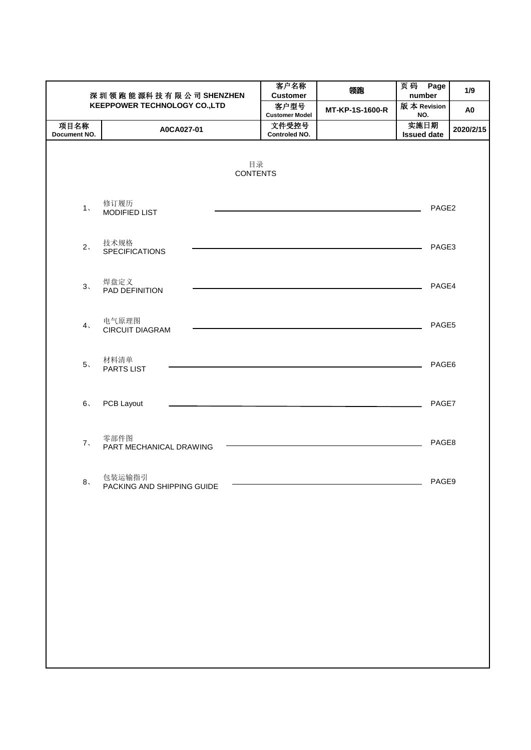| 深圳领跑能源科技有限公司SHENZHEN |                                      | 客户名称<br><b>Customer</b>        | 领跑              | 页码 Page<br>number  | 1/9            |
|----------------------|--------------------------------------|--------------------------------|-----------------|--------------------|----------------|
|                      | <b>KEEPPOWER TECHNOLOGY CO.,LTD</b>  | 客户型号                           | MT-KP-1S-1600-R | 版本 Revision        | A <sub>0</sub> |
| 项目名称                 | A0CA027-01                           | <b>Customer Model</b><br>文件受控号 |                 | NO.<br>实施日期        | 2020/2/15      |
| Document NO.         |                                      | Controled NO.                  |                 | <b>Issued date</b> |                |
|                      | 目录<br><b>CONTENTS</b>                |                                |                 |                    |                |
| 1 <sub>1</sub>       | 修订履历<br>MODIFIED LIST                |                                |                 | PAGE2              |                |
| 2 <sub>1</sub>       | 技术规格<br><b>SPECIFICATIONS</b>        |                                |                 | PAGE3              |                |
| 3.                   | 焊盘定义<br>PAD DEFINITION               |                                |                 | PAGE4              |                |
| 4 <sub>1</sub>       | 电气原理图<br><b>CIRCUIT DIAGRAM</b>      |                                |                 | PAGE5              |                |
| 5 <sub>1</sub>       | 材料清单<br>PARTS LIST                   |                                |                 | PAGE6              |                |
| $6\degree$           | PCB Layout                           |                                |                 | PAGE7              |                |
| 7.                   | 零部件图<br>PART MECHANICAL DRAWING      |                                |                 | PAGE8              |                |
| 8 <sub>1</sub>       | 包装运输指引<br>PACKING AND SHIPPING GUIDE |                                |                 | PAGE9              |                |
|                      |                                      |                                |                 |                    |                |
|                      |                                      |                                |                 |                    |                |
|                      |                                      |                                |                 |                    |                |
|                      |                                      |                                |                 |                    |                |
|                      |                                      |                                |                 |                    |                |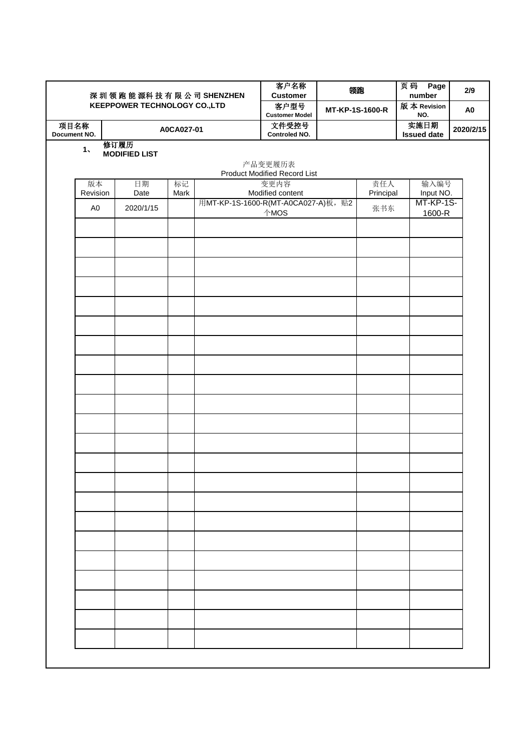|                      |                |                                     |            | 深圳领跑能源科技有限公司SHENZHEN               | 客户名称<br><b>Customer</b>                        | 领跑              |           | 页码<br>Page<br>number       | 2/9            |
|----------------------|----------------|-------------------------------------|------------|------------------------------------|------------------------------------------------|-----------------|-----------|----------------------------|----------------|
|                      |                | <b>KEEPPOWER TECHNOLOGY CO.,LTD</b> |            |                                    | 客户型号<br><b>Customer Model</b>                  | MT-KP-1S-1600-R |           | 版本 Revision<br>NO.         | A <sub>0</sub> |
| 项目名称<br>Document NO. |                |                                     | A0CA027-01 |                                    | 文件受控号<br>Controled NO.                         |                 |           | 实施日期<br><b>Issued date</b> | 2020/2/15      |
|                      | 1 <sub>1</sub> | 修订履历<br><b>MODIFIED LIST</b>        |            |                                    | 产品变更履历表<br><b>Product Modified Record List</b> |                 |           |                            |                |
|                      | 版本             | 日期                                  | 标记         |                                    | 变更内容                                           |                 | 责任人       | 输入编号                       |                |
|                      | Revision       | Date                                | Mark       |                                    | Modified content                               |                 | Principal | Input NO.                  |                |
|                      | A <sub>0</sub> | 2020/1/15                           |            | 用MT-KP-1S-1600-R(MT-A0CA027-A)板,贴2 | 个MOS                                           |                 | 张书东       | MT-KP-1S-<br>1600-R        |                |
|                      |                |                                     |            |                                    |                                                |                 |           |                            |                |
|                      |                |                                     |            |                                    |                                                |                 |           |                            |                |
|                      |                |                                     |            |                                    |                                                |                 |           |                            |                |
|                      |                |                                     |            |                                    |                                                |                 |           |                            |                |
|                      |                |                                     |            |                                    |                                                |                 |           |                            |                |
|                      |                |                                     |            |                                    |                                                |                 |           |                            |                |
|                      |                |                                     |            |                                    |                                                |                 |           |                            |                |
|                      |                |                                     |            |                                    |                                                |                 |           |                            |                |
|                      |                |                                     |            |                                    |                                                |                 |           |                            |                |
|                      |                |                                     |            |                                    |                                                |                 |           |                            |                |
|                      |                |                                     |            |                                    |                                                |                 |           |                            |                |
|                      |                |                                     |            |                                    |                                                |                 |           |                            |                |
|                      |                |                                     |            |                                    |                                                |                 |           |                            |                |
|                      |                |                                     |            |                                    |                                                |                 |           |                            |                |
|                      |                |                                     |            |                                    |                                                |                 |           |                            |                |
|                      |                |                                     |            |                                    |                                                |                 |           |                            |                |
|                      |                |                                     |            |                                    |                                                |                 |           |                            |                |
|                      |                |                                     |            |                                    |                                                |                 |           |                            |                |
|                      |                |                                     |            |                                    |                                                |                 |           |                            |                |
|                      |                |                                     |            |                                    |                                                |                 |           |                            |                |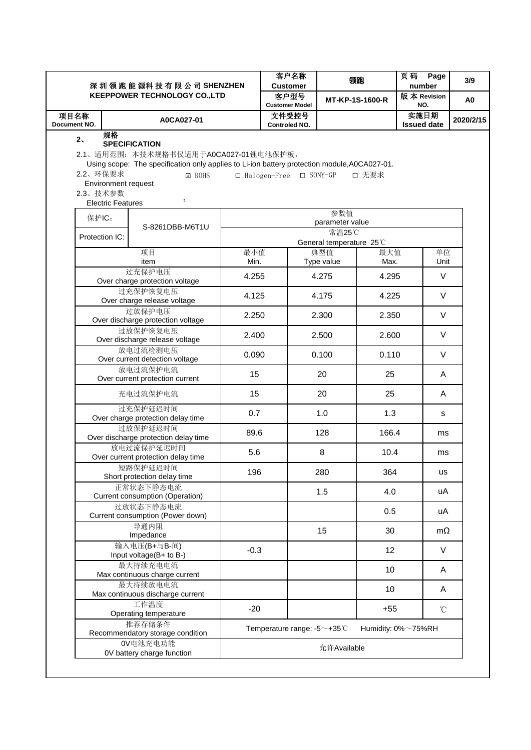|                                        |                                                       | 深圳领跑能源科技有限公司SHENZHEN                                                                                                                                                                                    |             | 客户名称<br><b>Customer</b>               |                          | 领跑              | 页码<br>Page<br>number       | 3/9            |
|----------------------------------------|-------------------------------------------------------|---------------------------------------------------------------------------------------------------------------------------------------------------------------------------------------------------------|-------------|---------------------------------------|--------------------------|-----------------|----------------------------|----------------|
|                                        | <b>KEEPPOWER TECHNOLOGY CO.,LTD</b>                   |                                                                                                                                                                                                         |             | 客户型号<br><b>Customer Model</b>         |                          | MT-KP-1S-1600-R | 版本 Revision<br>NO.         | A <sub>0</sub> |
| 项目名称<br>Document NO.                   |                                                       | A0CA027-01                                                                                                                                                                                              |             | 文件受控号<br>Controled NO.                |                          |                 | 实施日期<br><b>Issued date</b> | 2020/2/15      |
| 2 <sub>1</sub><br>2.2、环保要求<br>2.3、技术参数 | 规格<br>Environment request<br><b>Electric Features</b> | <b>SPECIFICATION</b><br>2.1、适用范围: 本技术规格书仅适用于A0CA027-01锂电池保护板,<br>Using scope: The specification only applies to Li-ion battery protection module, A0CA027-01.<br>$\boxdot$ ROHS<br>$\ddot{\phantom{a}}$ |             | $\Box$ Halogen-Free $\Box$ SONY-GP    |                          | 口 无要求           |                            |                |
| 保护IC:                                  |                                                       |                                                                                                                                                                                                         |             |                                       | 参数值                      |                 |                            |                |
| Protection IC:                         |                                                       | S-8261DBB-M6T1U                                                                                                                                                                                         |             |                                       | parameter value<br>常温25℃ |                 |                            |                |
|                                        |                                                       |                                                                                                                                                                                                         |             |                                       | General temperature 25°C |                 |                            |                |
|                                        |                                                       | 项目<br>item                                                                                                                                                                                              | 最小值<br>Min. |                                       | 典型值<br>Type value        | 最大值<br>Max.     | 单位<br>Unit                 |                |
|                                        |                                                       | 过充保护电压<br>Over charge protection voltage                                                                                                                                                                | 4.255       |                                       | 4.275                    | 4.295           | $\vee$                     |                |
|                                        |                                                       | 过充保护恢复电压<br>Over charge release voltage                                                                                                                                                                 | 4.125       |                                       | 4.175                    | 4.225           | V                          |                |
|                                        |                                                       | 过放保护电压<br>Over discharge protection voltage                                                                                                                                                             | 2.250       |                                       | 2.300                    | 2.350           | $\vee$                     |                |
|                                        |                                                       | 过放保护恢复电压<br>Over discharge release voltage                                                                                                                                                              | 2.400       | 2.500                                 |                          | 2.600           | V                          |                |
|                                        |                                                       | 放电过流检测电压<br>Over current detection voltage                                                                                                                                                              | 0.090       |                                       | 0.100                    | 0.110           | $\vee$                     |                |
|                                        | 放电过流保护电流<br>Over current protection current           |                                                                                                                                                                                                         | 15          |                                       | 20                       | 25              | A                          |                |
|                                        |                                                       | 充电过流保护电流                                                                                                                                                                                                | 15          | 20                                    |                          | 25              | A                          |                |
|                                        |                                                       | 过充保护延迟时间<br>Over charge protection delay time                                                                                                                                                           | 0.7         |                                       | 1.0                      | 1.3             | s                          |                |
|                                        |                                                       | 过放保护延迟时间<br>Over discharge protection delay time                                                                                                                                                        | 89.6        |                                       | 128                      | 166.4           | ms                         |                |
|                                        |                                                       | 放电过流保护延迟时间<br>Over current protection delay time                                                                                                                                                        | 5.6         |                                       | 8                        | 10.4            | ms                         |                |
|                                        |                                                       | 短路保护延迟时间<br>Short protection delay time                                                                                                                                                                 | 196         |                                       | 280                      | 364             | <b>us</b>                  |                |
|                                        |                                                       | 正常状态下静态电流<br>Current consumption (Operation)                                                                                                                                                            |             |                                       | 1.5                      | 4.0             | uA                         |                |
|                                        | 过放状态下静态电流<br>Current consumption (Power down)         |                                                                                                                                                                                                         |             |                                       |                          | 0.5             | uA                         |                |
|                                        | 导通内阻<br>Impedance                                     |                                                                                                                                                                                                         |             |                                       | 15                       | 30              | $m\Omega$                  |                |
|                                        | 输入电压(B+与B-间)<br>Input voltage(B+ to B-)               |                                                                                                                                                                                                         | $-0.3$      |                                       |                          | 12              | V                          |                |
|                                        | 最大持续充电电流<br>Max continuous charge current             |                                                                                                                                                                                                         |             |                                       |                          | 10              | A                          |                |
|                                        | 最大持续放电电流<br>Max continuous discharge current          |                                                                                                                                                                                                         |             |                                       |                          | 10              | A                          |                |
|                                        |                                                       | 工作温度<br>Operating temperature                                                                                                                                                                           | $-20$       |                                       |                          | $+55$           | $\rm ^{\circ}C$            |                |
|                                        |                                                       | 推荐存储条件<br>Recommendatory storage condition                                                                                                                                                              |             | Temperature range: $-5$ $\sim$ +35 °C |                          |                 | Humidity: 0%~75%RH         |                |
|                                        |                                                       | OV电池充电功能<br>OV battery charge function                                                                                                                                                                  |             |                                       | 允许Available              |                 |                            |                |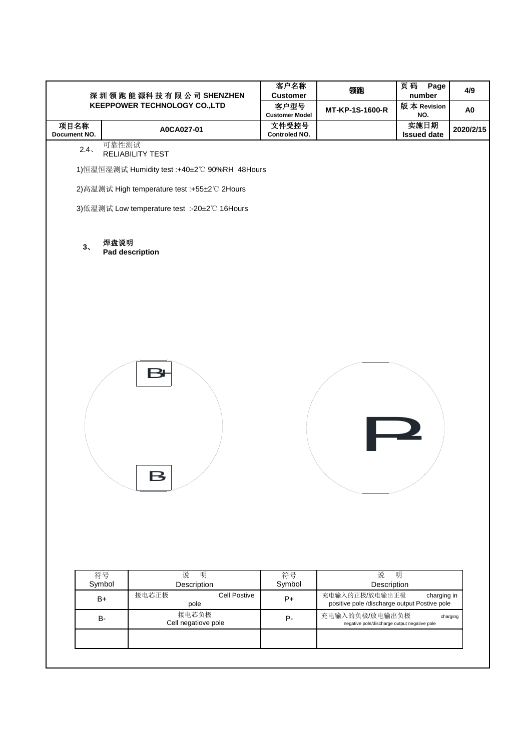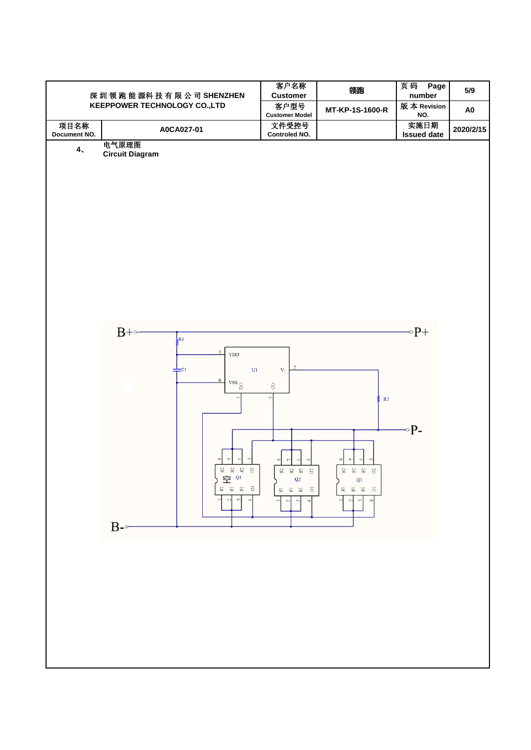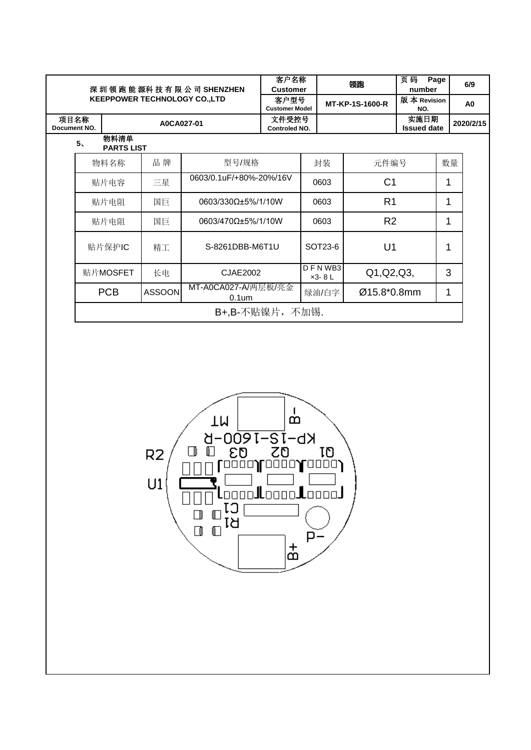|                      | 深圳领跑能源科技有限公司SHENZHEN<br><b>KEEPPOWER TECHNOLOGY CO.,LTD</b> |               |                                          |                               | 客户名称<br><b>Customer</b>       | 领跑              | 页码<br>number               | Page | 6/9            |  |  |  |
|----------------------|-------------------------------------------------------------|---------------|------------------------------------------|-------------------------------|-------------------------------|-----------------|----------------------------|------|----------------|--|--|--|
|                      |                                                             |               |                                          |                               | 客户型号<br><b>Customer Model</b> | MT-KP-1S-1600-R | 版本 Revision<br>NO.         |      | A <sub>0</sub> |  |  |  |
| 项目名称<br>Document NO. |                                                             | A0CA027-01    |                                          | 文件受控号<br><b>Controled NO.</b> |                               |                 | 实施日期<br><b>Issued date</b> |      | 2020/2/15      |  |  |  |
|                      | 物料清单<br>5 <sub>1</sub><br><b>PARTS LIST</b>                 |               |                                          |                               |                               |                 |                            |      |                |  |  |  |
|                      | 物料名称                                                        | 品牌            | 型号/规格                                    |                               | 封装                            | 元件编号            |                            | 数量   |                |  |  |  |
|                      | 贴片电容                                                        | 三星            | 0603/0.1uF/+80%-20%/16V                  |                               | 0603                          | C <sub>1</sub>  |                            | 1    |                |  |  |  |
|                      | 国巨<br>贴片电阻                                                  |               | 0603/330Ω±5%/1/10W                       |                               | 0603                          | R <sub>1</sub>  |                            | 1    |                |  |  |  |
|                      | 贴片电阻<br>国巨                                                  |               | 0603/470Ω±5%/1/10W                       |                               | 0603                          | R <sub>2</sub>  |                            | 1    |                |  |  |  |
|                      | 贴片保护IC                                                      | 精工            | S-8261DBB-M6T1U                          |                               | SOT23-6                       | U <sub>1</sub>  |                            | 1    |                |  |  |  |
|                      | 贴片MOSFET                                                    | 长电            | CJAE2002                                 |                               | DFNWB3<br>$x3 - 8$ L          | Q1, Q2, Q3,     |                            | 3    |                |  |  |  |
|                      | <b>PCB</b>                                                  | <b>ASSOON</b> | MT-A0CA027-A/两层板/亮金<br>0.1 <sub>um</sub> |                               | 绿油/白字                         | Ø15.8*0.8mm     |                            | 1    |                |  |  |  |
|                      |                                                             |               |                                          |                               | B+, B-不贴镍片, 不加锡.              |                 |                            |      |                |  |  |  |

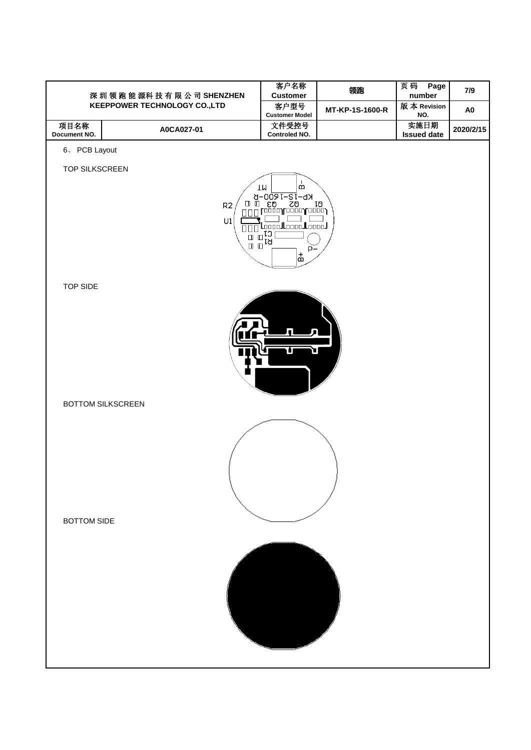|                          | 深圳领跑能源科技有限公司SHENZHEN                | 客户名称<br><b>Customer</b>                                                                                                                                                                                                                                             | 领跑              | 页码<br>Page<br>number | 7/9            |
|--------------------------|-------------------------------------|---------------------------------------------------------------------------------------------------------------------------------------------------------------------------------------------------------------------------------------------------------------------|-----------------|----------------------|----------------|
|                          | <b>KEEPPOWER TECHNOLOGY CO.,LTD</b> | 客户型号                                                                                                                                                                                                                                                                | MT-KP-1S-1600-R | 版本 Revision          | A <sub>0</sub> |
| 项目名称                     |                                     | <b>Customer Model</b><br>文件受控号                                                                                                                                                                                                                                      |                 | NO.<br>实施日期          |                |
| Document NO.             | A0CA027-01                          | Controled NO.                                                                                                                                                                                                                                                       |                 | <b>Issued date</b>   | 2020/2/15      |
| 6、PCB Layout             |                                     |                                                                                                                                                                                                                                                                     |                 |                      |                |
|                          |                                     |                                                                                                                                                                                                                                                                     |                 |                      |                |
| TOP SILKSCREEN           |                                     |                                                                                                                                                                                                                                                                     |                 |                      |                |
|                          |                                     | á<br>TM                                                                                                                                                                                                                                                             |                 |                      |                |
|                          | R2                                  |                                                                                                                                                                                                                                                                     |                 |                      |                |
|                          | ${\sf U1}$                          |                                                                                                                                                                                                                                                                     |                 |                      |                |
|                          |                                     | $\begin{picture}(120,140)(-10,140)(-10,140)(-10,140)(-10,140)(-10,140)(-10,140)(-10,140)(-10,140)(-10,140)(-10,140)(-10,140)(-10,140)(-10,140)(-10,140)(-10,140)(-10,140)(-10,140)(-10,140)(-10,140)(-10,140)(-10,140)(-10,140)(-10,140)(-10,140)(-10,140)(-10,140$ |                 |                      |                |
|                          |                                     |                                                                                                                                                                                                                                                                     |                 |                      |                |
|                          |                                     | $\frac{1}{\overline{2}}$                                                                                                                                                                                                                                            |                 |                      |                |
|                          |                                     |                                                                                                                                                                                                                                                                     |                 |                      |                |
| <b>TOP SIDE</b>          |                                     |                                                                                                                                                                                                                                                                     |                 |                      |                |
|                          |                                     |                                                                                                                                                                                                                                                                     |                 |                      |                |
|                          |                                     |                                                                                                                                                                                                                                                                     |                 |                      |                |
|                          |                                     |                                                                                                                                                                                                                                                                     |                 |                      |                |
|                          |                                     | ונ                                                                                                                                                                                                                                                                  |                 |                      |                |
|                          |                                     |                                                                                                                                                                                                                                                                     |                 |                      |                |
|                          |                                     |                                                                                                                                                                                                                                                                     |                 |                      |                |
|                          |                                     |                                                                                                                                                                                                                                                                     |                 |                      |                |
| <b>BOTTOM SILKSCREEN</b> |                                     |                                                                                                                                                                                                                                                                     |                 |                      |                |
|                          |                                     |                                                                                                                                                                                                                                                                     |                 |                      |                |
|                          |                                     |                                                                                                                                                                                                                                                                     |                 |                      |                |
|                          |                                     |                                                                                                                                                                                                                                                                     |                 |                      |                |
|                          |                                     |                                                                                                                                                                                                                                                                     |                 |                      |                |
|                          |                                     |                                                                                                                                                                                                                                                                     |                 |                      |                |
|                          |                                     |                                                                                                                                                                                                                                                                     |                 |                      |                |
|                          |                                     |                                                                                                                                                                                                                                                                     |                 |                      |                |
| <b>BOTTOM SIDE</b>       |                                     |                                                                                                                                                                                                                                                                     |                 |                      |                |
|                          |                                     |                                                                                                                                                                                                                                                                     |                 |                      |                |
|                          |                                     |                                                                                                                                                                                                                                                                     |                 |                      |                |
|                          |                                     |                                                                                                                                                                                                                                                                     |                 |                      |                |
|                          |                                     |                                                                                                                                                                                                                                                                     |                 |                      |                |
|                          |                                     |                                                                                                                                                                                                                                                                     |                 |                      |                |
|                          |                                     |                                                                                                                                                                                                                                                                     |                 |                      |                |
|                          |                                     |                                                                                                                                                                                                                                                                     |                 |                      |                |
|                          |                                     |                                                                                                                                                                                                                                                                     |                 |                      |                |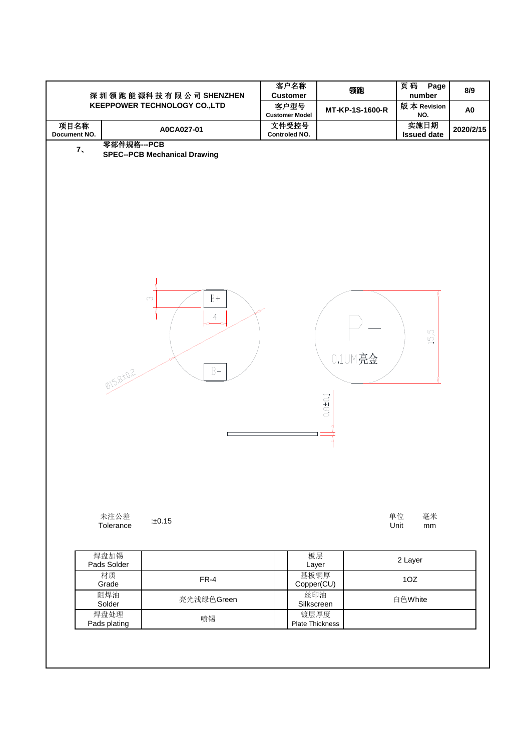|                      |                          | 深圳领跑能源科技有限公司SHENZHEN<br><b>KEEPPOWER TECHNOLOGY CO.,LTD</b>    | 客户名称<br><b>Customer</b><br>客户型号<br><b>Customer Model</b> | 领跑<br>MT-KP-1S-1600-R   | 页码<br>Page<br>number<br>版本 Revision<br>NO. | 8/9<br>A <sub>0</sub> |
|----------------------|--------------------------|----------------------------------------------------------------|----------------------------------------------------------|-------------------------|--------------------------------------------|-----------------------|
| 项目名称<br>Document NO. |                          | A0CA027-01                                                     | 文件受控号<br>Controled NO.                                   |                         | 实施日期<br><b>Issued date</b>                 | 2020/2/15             |
| 7,                   | 零部件规格---PCB<br>015,8+0.2 | <b>SPEC--PCB Mechanical Drawing</b><br>$B+$<br>C<br>4<br>$B -$ |                                                          | 0.1UM亮金<br>$0.8 + 0.1$  | 15,5                                       |                       |
|                      | 未注公差<br>Tolerance        | :±0.15                                                         |                                                          |                         | 单位<br>毫米<br>Unit<br>$\mathsf{mm}$          |                       |
|                      | 焊盘加锡<br>Pads Solder      |                                                                |                                                          | 板层<br>Layer             | 2 Layer                                    |                       |
|                      | 材质<br>Grade              | $FR-4$                                                         |                                                          | 基板铜厚<br>Copper(CU)      | 10Z                                        |                       |
|                      | 阻焊油<br>Solder            | 亮光浅绿色Green                                                     |                                                          | 丝印油<br>Silkscreen       | 白色White                                    |                       |
|                      | 焊盘处理<br>Pads plating     | 喷锡                                                             |                                                          | 镀层厚度<br>Plate Thickness |                                            |                       |
|                      |                          |                                                                |                                                          |                         |                                            |                       |